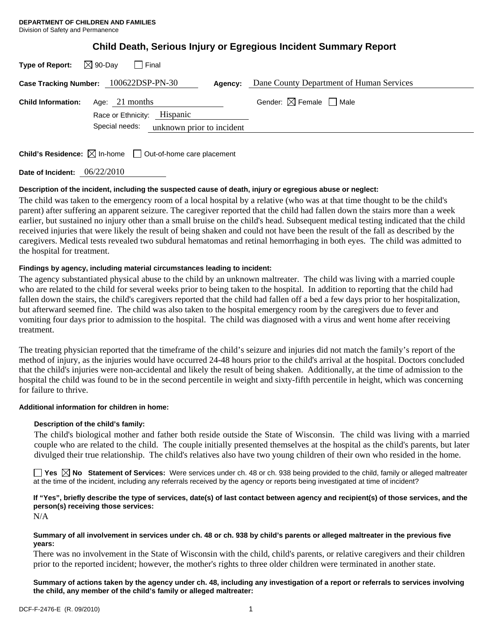|  |  | Child Death, Serious Injury or Egregious Incident Summary Report |
|--|--|------------------------------------------------------------------|
|  |  |                                                                  |

|                           | Case Tracking Number: 100622DSP-PN-30<br>Agency: | Dane County Department of Human Services |
|---------------------------|--------------------------------------------------|------------------------------------------|
| <b>Child Information:</b> | Age: $21$ months                                 | Gender: $\boxtimes$ Female $\Box$ Male   |
|                           | Race or Ethnicity: Hispanic                      |                                          |
|                           | unknown prior to incident<br>Special needs:      |                                          |

**Child's Residence:**  $\boxtimes$  In-home  $\Box$  Out-of-home care placement

**Date of Incident:** 06/22/2010

### **Description of the incident, including the suspected cause of death, injury or egregious abuse or neglect:**

The child was taken to the emergency room of a local hospital by a relative (who was at that time thought to be the child's parent) after suffering an apparent seizure. The caregiver reported that the child had fallen down the stairs more than a week earlier, but sustained no injury other than a small bruise on the child's head. Subsequent medical testing indicated that the child received injuries that were likely the result of being shaken and could not have been the result of the fall as described by the caregivers. Medical tests revealed two subdural hematomas and retinal hemorrhaging in both eyes. The child was admitted to the hospital for treatment.

# **Findings by agency, including material circumstances leading to incident:**

The agency substantiated physical abuse to the child by an unknown maltreater. The child was living with a married couple who are related to the child for several weeks prior to being taken to the hospital. In addition to reporting that the child had fallen down the stairs, the child's caregivers reported that the child had fallen off a bed a few days prior to her hospitalization, but afterward seemed fine. The child was also taken to the hospital emergency room by the caregivers due to fever and vomiting four days prior to admission to the hospital. The child was diagnosed with a virus and went home after receiving treatment.

The treating physician reported that the timeframe of the child's seizure and injuries did not match the family's report of the method of injury, as the injuries would have occurred 24-48 hours prior to the child's arrival at the hospital. Doctors concluded that the child's injuries were non-accidental and likely the result of being shaken. Additionally, at the time of admission to the hospital the child was found to be in the second percentile in weight and sixty-fifth percentile in height, which was concerning for failure to thrive.

### **Additional information for children in home:**

### **Description of the child's family:**

 The child's biological mother and father both reside outside the State of Wisconsin. The child was living with a married couple who are related to the child. The couple initially presented themselves at the hospital as the child's parents, but later divulged their true relationship. The child's relatives also have two young children of their own who resided in the home.

■ Yes **No** Statement of Services: Were services under ch. 48 or ch. 938 being provided to the child, family or alleged maltreater at the time of the incident, including any referrals received by the agency or reports being investigated at time of incident?

# **If "Yes", briefly describe the type of services, date(s) of last contact between agency and recipient(s) of those services, and the person(s) receiving those services:**

N/A

#### **Summary of all involvement in services under ch. 48 or ch. 938 by child's parents or alleged maltreater in the previous five years:**

There was no involvement in the State of Wisconsin with the child, child's parents, or relative caregivers and their children prior to the reported incident; however, the mother's rights to three older children were terminated in another state.

**Summary of actions taken by the agency under ch. 48, including any investigation of a report or referrals to services involving the child, any member of the child's family or alleged maltreater:**